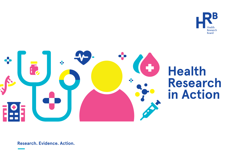



# **Health Research in Action**

**Research. Evidence. Action.**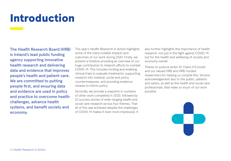# Introduction

The Health Research Board (HRB) is Ireland's lead public funding agency supporting innovative health research and delivering data and evidence that improves people's health and patient care. We are committed to putting people first, and ensuring data and evidence are used in policy and practice to overcome health challenges, advance health systems, and benefit society and economy.

This year's *Health Research in Action* highlights some of the many notable impacts and outcomes of our work during 2020. Firstly, we present a timeline providing an overview of our huge contribution to Ireland's efforts to combat COVID-19. This includes funding and enabling clinical trials to evaluate treatments, supporting research into medical, social and policy countermeasures, and providing evidence reviews to inform policy.

Secondly, we provide a snapshot in numbers of other work completed in 2020, followed by 22 success stories of wide-ranging health and social care research across four themes. That all of this was achieved despite the challenges of COVID-19 makes it even more impressive. It also further highlights the importance of health research, not just in the fight against COVID-19, but for the health and wellbeing of society and economy overall.

Thanks to science writer Dr Claire O'Connell and our valued HRB and HRB-funded researchers for helping us compile this. Sincere acknowledgement also to the public, patients and carers, as well as the health and social care professionals, that make so much of our work possible.

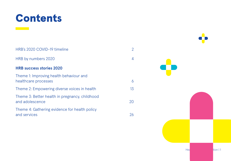

 $\mathcal{L}^{\text{max}}_{\text{max}}$ 

| HRB's 2020 COVID-19 timeline                                      | $\overline{2}$ |
|-------------------------------------------------------------------|----------------|
| HRB by numbers 2020                                               | $\overline{4}$ |
| <b>HRB success stories 2020</b>                                   |                |
| Theme 1: Improving health behaviour and<br>healthcare processes   | 6              |
| Theme 2: Empowering diverse voices in health                      | 13             |
| Theme 3: Better health in pregnancy, childhood<br>and adolescence | 20             |
| Theme 4: Gathering evidence for health policy<br>and services     | 26             |

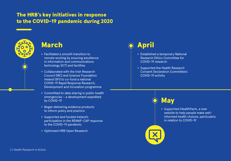### The HRB's key initiatives in response to the COVID-19 pandemic during 2020



- Facilitated a smooth transition to remote working by ensuring excellence in information and communications technology (ICT) and facilities
- Collaborated with the Irish Research Council (IRC) and Science Foundation Ireland (SFI) to co-fund a national COVID-19 Rapid Response Research, Development and Innovation programme
- Committed to data sharing in public health emergencies – a development expedited by COVID-19
- Began delivering evidence products to inform policy and practice
- Supported and funded Ireland's participation in the REMAP-CAP response to the COVID-19 pandemic
- Optimised HRB Open Research

## March **April April**

- Established a temporary National Research Ethics Committee for COVID-19 research
- Supported the Health Research Consent Declaration Committee's COVID-19 activity



• Supported iHealthFacts, a new website to help people make wellinformed health choices, particularly in relation to COVID-19

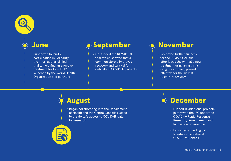

### **June**

• Supported Ireland's participation in Solidarity, the international clinical trial to help find an effective treatment for COVID-19, launched by the World Health Organization and partners

### O September (O November

• Co-funded the REMAP-CAP trial, which showed that a common steroid improves recovery and survival for critically ill COVID-19 patients

• Recorded further success for the REMAP-CAP trial, after it was shown that a new treatment using an arthritis drug, tocilizumab, proved effective for the sickest COVID-19 patients

### August

• Began collaborating with the Department of Health and the Central Statistics Office to create safe access to COVID-19 data for research



- Funded 14 additional projects jointly with the IRC under the COVID-19 Rapid Response Research, Development and Innovation programme
- Launched a funding call to establish a National COVID-19 Biobank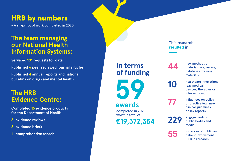### HRB by numbers

- A snapshot of work completed in 2020

### **The team managing our National Health Information Systems:**

**Serviced 101 requests for data** 

**Published 6 peer reviewed journal articles**

**Published 4 annual reports and national bulletins on drugs and mental health**

### **The HRB Evidence Centre:**

**Completed 15 evidence products for the Department of Health:**

- **6 evidence reviews**
- **8 evidence briefs**
- **1 comprehensive search**

### **In terms of funding**

**59 €19,372,354**  completed in 2020, worth a total of **awards**

#### **This research resulted in:**

**44** new methods or<br>
materials (e.g. assays,<br>
detences training databases, training materials)

**10** healthcare innovations<br>(e.g. medical (e.g. medical devices, therapies or interventions)

**77** influences on policy<br>
or practice (e.g. new<br>
olinical guidalines clinical guidelines, policy reports)

229 engagements with public bodies and media

**55** instances of public and<br>
patient involvement patient involvement (PPI) in research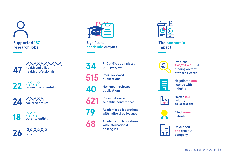# **Supported 137 research jobs**

222222222 **47** health and allied health professionals

**22** biomedical scientists

**24** social scientists

**18** other scientists

**26** other



**Significant** academic outputs

**34** PhDs/MScs completed<br>or in progress



**515** Peer-reviewed publications

or in progress

**40** Non-peer reviewed publications

**621** Presentations at scientific conferences



**79** Academic collaborations<br>with national colleagues

**68** Academic collaborations<br>with international with international colleagues



**The economic impact**



Leveraged **€28,901,451** total funding on foot of these awards



Negotiated **one** licence with industry



Started **four** industry collaborations



Filed **seven** patents



Developed **one** spin out company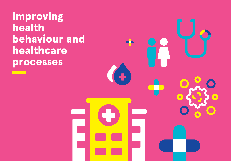Improving health behaviour and healthcare processes

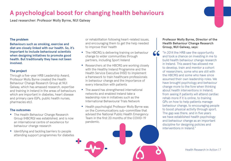### **A psychological boost for changing health behaviours**

Lead researcher: Professor Molly Byrne, NUI Galway

#### **The problem**

Behaviours such as smoking, exercise and diet are closely linked with our health. So, it's important to include behavioural scientists when designing initiatives to promote good health. But traditionally they have not been involved.

#### **The project**

Through a five-year HRB Leadership Award, Professor Molly Byrne created the Health Behaviour Change Research Group at NUI Galway, which has amassed research, expertise and training in Ireland in the areas of behaviours which are important in diabetes, heart disease and primary care (GPs, public health nurses, pharmacies etc).

#### **The outcomes**

- The Health Behaviour Change Research Group (HBCRG) was established, and is now an international centre of excellence for behaviour change research
- Identifying and tackling barriers to people attending support programmes for diabetes

or rehabilitation following heart-related issues, and encouraging them to get the help needed to improve their health

- The HBCRG is delivering training on behaviour change to wider communities through partners, including Sport Ireland
- Researchers at the HBCRG are working closely with the Healthy Ireland Programme and the Health Service Executive (HSE) to implement a framework to train healthcare professionals in behaviour change and the importance of every interaction with patients
- The award has strengthened international networks and enabled Ireland take a leadership role in initiatives such as the International Behavioural Trials Network
- Health psychologist Professor Molly Byrne was on the Communications sub-committee that advised the National Public Health Emergency Team in the first 20 months of the COVID-19 pandemic.

**Professor Molly Byrne, Director of the Health Behaviour Change Research Group, NUI Galway, says:** 

**"**

"In 2014 the HRB saw the opportunity and took a chance on investing in me to build health behaviour change research in Ireland. This award has allowed me to develop, train and mentor a cohort of researchers, some who are still with the HBCRG and some who have since assumed their own leadership roles. We have brought psychology and behaviour change more to the fore when thinking about health interventions in Ireland, from seeing if patients will attend cardiac rehab more if it is online, to training GPs on how to help patients manage behaviour change, to encouraging people to boost physical activity through sport. The gap was there, and in five years we have established health psychology and behaviour change as an important discipline for designing policies and interventions in Ireland."

Health Research in Action | 7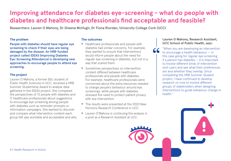### **Improving attendance for diabetes eye-screening - what do people with diabetes and healthcare professionals find acceptable and feasible?**

Researchers: Lauren O Mahony, Dr Sheena McHugh, Dr Fiona Riordan, University College Cork (UCC)

#### **The problem**

People with diabetes should have regular eye screening to check if their eyes are being damaged by the disease. An HRB-funded project called IDEAS (Improving Diabetes Eye-Screening Attendance) is developing new approaches to encourage people to attend eye screening.

#### **The project**

Lauren O Mahony, a former BSc student of Public Health Sciences in UCC, received a HRB Summer Studentship Award to analyse data gathered in the IDEAS project. She compared the perspectives of 13 people with diabetes and 17 healthcare professionals about suggestions to encourage eye screening among people with diabetes such as reminder prompts or information campaigns. She wanted to discover and compare what intervention content each group felt was workable and acceptable and why.

#### **The outcomes**

- Healthcare professionals and people with diabetes had similar concerns. For example, they wanted to ensure that interventions would inform people about the need for regular eye screening in diabetes, but not in a way that scared them
- Sometimes perspectives on intervention content differed between healthcare professionals and people with diabetes. For example, healthcare professionals were concerned about the extra resources needed to change people's behaviour around eye screenings, while people with diabetes stressed the need to protect patient privacy with any intervention
- The results were presented at the 2020 New Horizons Research Conference in UCC
- Lauren O'Mahony is continuing the analysis in a post as a Research Assistant at UCC.

#### **Lauren O Mahony, Research Assistant, UCC School of Public Health, says:**

"When you are developing an intervention to encourage a health behaviour — in this case going for regular eye screening if a person has diabetes — it is important to involve different kinds of intervention end-users and see what their preferences are and whether they overlap. Since completing the HRB Summer Student project, I have continued to develop research on how to involve different groups of stakeholders when designing interventions to guide behaviour change in health." **"**

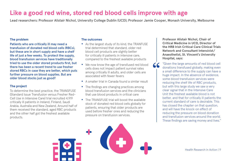### **Like a good red wine, stored red blood cells improve with age**

Lead researchers: Professor Alistair Nichol, University College Dublin (UCD); Professor Jamie Cooper, Monash University, Melbourne

#### **The problem**

Patients who are critically ill may need a transfusion of donated red blood cells (RBCs), but these are in short supply and have a shelf life of just a few weeks. To protect the supply, blood transfusion services have traditionally tried to use the older stored products first, but there has been a recent trend to use fresher stored RBCs in case they are better, which puts further pressure on blood supplies. But are older blood stocks just as good?

#### **The project**

To determine the best practice, the TRANSFUSE (Standard Issue Transfusion versus Fresher Red-Cell Use in Intensive Care) trial recruited 4,919 critically ill patients in Ireland, Finland, Saudi Arabia, Australia and New Zealand. Around half of them received the standard, aged RBC products and the other half got the freshest available products.

#### **The outcomes**

- As the largest study of its kind, the TRANFUSE trial determined that standard, older red blood cell products are slightly better for critically ill patients in intensive care, compared to the freshest available products
- We now know the age of transfused red blood cells does not impact patient survival rates among critically ill adults, and older cells are associated with fewer fevers
- A smaller trial in Canada found a similar result
- The findings are changing practices among blood transfusion services and the clinicians that use blood products in critical care
- The TRANSFUSE trial will boost the available stock of donated red blood cells globally for patients, ensuring that older products are used before fresher ones and reducing the pressure on transfusion services.

**Professor Alistair Nichol, Chair of Critical Medicine in UCD, Director of the HRB Irish Critical Care Clinical Trials Network and Consultant Intensivist/ Anaesthetist, St. Vincent's University Hospital, says:** 

"Given the large amounts of red blood cell donations transfused globally, making even a small difference to the supply can have a huge impact. In the absence of evidence, some blood transfusion services were reducing the shelf life of RBC products, but with this large study we saw a very clear signal that in the Intensive Care Unit the freshest available blood is not better, and that for critically ill patients the current standard of care is desirable. This has closed the chapter on that question. and will have the knock-on effect of reducing the pressure on blood donation and transfusion services around the world. These findings are saving money and lives." **"**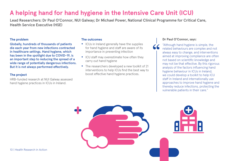### **A helping hand for hand hygiene in the Intensive Care Unit (ICU)**

Lead Researchers: Dr Paul O'Connor, NUI Galway; Dr Michael Power, National Clinical Programme for Critical Care, Health Service Executive (HSE)

#### **The problem**

Globally, hundreds of thousands of patients die each year from new infections contracted in healthcare settings. Hand hygiene, which has been in the spotlight due to COVID-19, is an important step to reducing the spread of a wide range of potentially dangerous infections. But it is not always performed effectively.

#### **The project**

HRB-funded research at NUI Galway assessed hand hygiene practices in ICUs in Ireland.

#### **The outcomes**

- ICUs in Ireland generally have the supplies for hand hygiene and staff are aware of its importance in preventing infection
- ICU staff may overestimate how often they carry out hand hygiene
- The researchers developed a new toolkit of 21 interventions to help ICUs find the best way to boost effective hand hygiene practices.

#### **Dr Paul O'Connor, says:**

**"**

"Although hand hygiene is simple, the related behaviours are complex and not always easy to change, and interventions aimed at improving compliance are often not based on scientific knowledge and may not be that effective. By this rigorous analysis of the factors influencing hand hygiene behaviour in ICUs in Ireland, we could develop a toolkit to help ICU staff in Ireland and internationally use approaches to improve hand hygiene and thereby reduce infections, protecting the vulnerable patients in their care."

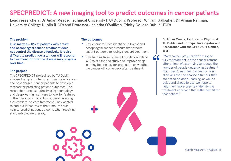### **SPECPREDICT: A new imaging tool to predict outcomes in cancer patients**

Lead researchers: Dr Aidan Meade, Technical University (TU) Dublin; Professor William Gallagher, Dr Arman Rahman, University College Dublin (UCD) and Professor Jacintha O'Sullivan, Trinity College Dublin (TCD)

#### **The problem**

In as many as 60% of patients with breast and oesophageal cancer, treatment does not control the disease effectively. It is also difficult to predict how a tumour will respond to treatment, or how the disease may progress over time.

#### **The project**

The SPECPREDICT project led by TU Dublin analysed samples of tumours from breast cancer and oesophageal cancer patients to develop a method for predicting patient outcomes. The researchers used spectral imaging technology and deep-learning software to look for features in the tumours of patients who were receiving the standard-of-care treatment. They wanted to find out if features of the tumours could help to predict patient outcome when receiving standard-of-care therapy.

#### **The outcomes**

- New characteristics identified in breast and oesophageal cancer tumours that predict patient outcome following standard treatment
- New funding from Science Foundation Ireland (SFI) to expand the study and improve deeplearning technology for prediction on whether the cancer will come back after treatment.

**Dr Aidan Meade, Lecturer in Physics at TU Dublin and Principal Investigator and Researcher with the SFI ADAPT Centre, says:** 

"Many cancer patients don't respond fully to treatment, or the cancer returns after a time. We are trying to reduce the number of people undergoing treatment that doesn't suit their cancer. By giving clinicians tools to analyse a tumour that are based on deep-learning, as well as quick and cheap to use, we hope to help them more precisely identify the treatment approach that is the best fit for that patient."

**"**

Health Research in Action | 11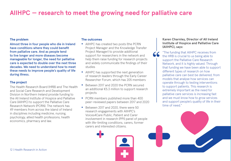### **AIIHPC — research to meet the growing need for palliative care**

#### **The problem**

Almost three in four people who die in Ireland have conditions where they could benefit from palliative care. And as people tend to live longer and more diseases become manageable for longer, the need for palliative care is expected to double over the next three decades. We need to understand how to meet these needs to improve people's quality of life during illness.

#### **The project**

The Health Research Board (HRB) and The Health and Social Care Research and Development Division in Northern Ireland provide funding to the All Ireland Institute of Hospice and Palliative Care (AIIHPC) to support the Palliative Care Research Network (PCRN). The network has 49 members from across the island of Ireland in disciplines including medicine, nursing, psychology, allied health professions, health economics, pharmacy and law.

#### **The outcomes**

- AIIHPC has created two posts (the PCRN Project Manager and the Knowledge Transfer Project Manager) to provide additional support for researchers in the network and help them raise funding for research projects and widely communicate the findings of their studies
- AllHPC has supported the next generation of research leaders through the Early Career Researcher Forum, which has 205 members
- Between 2017 and 2020 the PCRN secured an additional €5.3 million to support research projects
- PCRN members published more than 400 peer-reviewed papers between 2017 and 2020
- Between 2017 and 2020, there were 50 research engagements with AIIHPC's Voices4Care Public, Patient and Carer involvement in research (PPI) panel of people with life-limiting conditions, carers, former carers and interested citizens.

**Karen Charnley, Director of All Ireland Institute of Hospice and Palliative Care (AIIHPC), says:** 

**"**

"The funding that AIIHPC receives from the HRB is crucial to us being able to support the Palliative Care Research Network, and it is highly valued. Through that funding we have been able to support different types of research on how palliative care can best be delivered, from models that analyse how services can operate through to testing interventions to support patients. This research is extremely important as the need for palliative care services is increasing fast and we must know how to grow services and support people's quality of life in their time of need."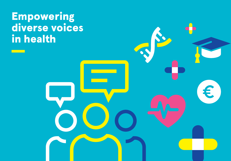## **Empowering** diverse voices in health

Health Research in Action | 13

€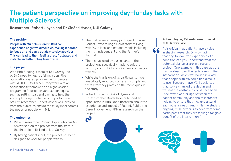### **The patient perspective on improving day-to-day tasks with Multiple Sclerosis**

 $\boldsymbol{\mathcal{C}}$ 

Researcher: Robert Joyce and Dr Sinéad Hynes, NUI Galway

#### **The problem**

People with Multiple Sclerosis (MS) can experience cognitive difficulties, making it harder to focus on and carry out day-to-day activities. This can lead to them feeling tired, frustrated and irritable and attempting fewer tasks.

#### **The project**

With HRB funding, a team at NUI Galway, led by Dr Sinéad Hynes, is trialling a cognitive occupation-based programme for people with MS (COB-MS), where they work with an occupational therapist on an eight-session programme focused on various techniques such as setting goals and pacing to help them accomplish day-to-day tasks. Importantly, a patient-researcher (Robert Joyce) was involved from the outset, to ensure the study incorporates the needs of people with MS.

#### **The outcomes**

- Patient-researcher Robert Joyce, who has MS, has worked on the project from the start in the first role of its kind at NUI Galway
- By having patient input, the project has been designed to work for people with MS
- The trial recruited many participants through Robert Joyce telling his own story of living with MS in local and national media including the Irish Independent and the Farmer's Journal
- The manual used by participants in the project was specifically made to suit the sensory and mobility requirements of people with MS
- While the trial is ongoing, participants have anecdotally reported success in completing tasks after they practiced the techniques in the study
- Robert Joyce, Dr Sinéad Hynes and Dr Christopher Dwyer have published an [open letter in HRB Open Research](https://hrbopenresearch.org/articles/4-11) about the experience and impact of Patient, Public and Carer Involvement (PPI) in research on the project.

#### **Robert Joyce, Patient-researcher at NUI Galway, says:**

"It is critical that patients have a voice in shaping research. Only by having that day-to-day lived experience of a condition can you understand what the potential obstacles are in a research project. One example in this case was the manual describing the techniques in the intervention, which was bound in a way that people with MS could find difficult to use. Because I have MS, I could see that, so we changed the design and it was not the obstacle it could have been. I see myself as a bridge between the patient community and the researchers, helping to ensure that they understand each other's needs. And while the study is ongoing, it's heartening to hear from some participants that they are feeling a tangible benefit of the intervention." **"**

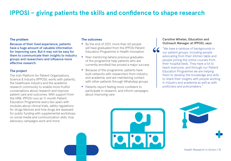### **IPPOSI – giving patients the skills and confidence to shape research**

#### **The problem**

Because of their lived experience, patients have a huge amount of valuable information for improving care. But it may not be easy for them to communicate their insights to industry groups and researchers and influence more effective research.

#### **The project**

The Irish Platform for Patient Organisations, Science & Industry (IPPOSI), works with patients, the healthcare industry and the academic research community to enable more fruitful conversations about research and improve patient care and outcomes. With support from the HRB, IPPOSI runs an 11-month Patient Education Programme every two years with modules about clinical trials, safety regulations for drugs/devices and how drugs are assessed for public funding with supplemental workshops on social media and communication skills, how advocacy campaigns work and more.

#### **The outcomes**

- By the end of 2021, more than 60 people will have graduated from the IPPOSI Patient Education Programme in Health Innovation
- Peer mentoring (where previous graduates of the programme help patients who are currently enrolled) has proved a major success
- Because of the programme, patients have built networks with researchers from industry and academia, and are maintaining contact with other patients through WhatsApp groups
- Patients report feeling more confident to participate in research, and inform campaigns about improving care.

#### **Caroline Whelan, Education and Outreach Manager at IPPOSI, says:**

"We have a rainbow of backgrounds in our patient groups, including people advocating from their kitchen table and people joining the online courses from their hospital beds. They have a lot to teach everyone, and through our Patient Education Programme we are helping them to develop the knowledge and skills to share their insights with people working in industry and academia as well as with politicians and policymakers." **"**



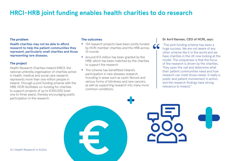### **HRCI-HRB joint funding enables health charities to do research**

#### **The problem**

Health charities may not be able to afford research to help the patient communities they represent, particularly small charities and those representing rare diseases.

#### **The project**

Health Research Charities Ireland (HRCI), the national umbrella organisation of charities active in health, medical and social care research, represents more than one million people in Ireland. Through a joint funding scheme with the HRB, HCRI facilitates co-funding for charities to support projects of up to €300,000 (over one to three years), thereby encouraging public participation in the research.

#### **The outcomes**

- 134 research projects have been jointly funded by HCRI member charities and the HRB across 10 rounds
- Around €13 million has been granted by the HRB, which has been matched by the charities to support the research
- The scheme has benefitted Ireland's participation in rare diseases research, including in areas such as cystic fibrosis and various forms of blindness and rare cancers, as well as supporting research into many more common conditions.

#### **Dr Avril Kennan, CEO of HCRI, says:**

"The joint funding scheme has been a huge success. We are not aware of any other scheme like it in the world and we have charities in the UK now looking at the model. The uniqueness is that the focus of the research is driven by the charities. They open the call and determine what their patient communities need and how research can meet those needs. It really is public and patient involvement in action, and the research findings have strong relevance to Ireland." **"**

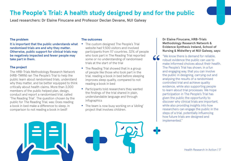### **The People's Trial: A health study designed by and for the public**

Lead researchers: Dr Elaine Finucane and Professor Declan Devane, NUI Galway

#### **The problem**

It is important that the public understands what randomised trials are and why they matter. Otherwise, public support for clinical trials may be negatively impacted and fewer people may take part in them.

#### **The project**

The HRB-Trials Methodology Research Network (HRB-TMRN) ran The People's Trial to help the public learn about randomised trials, understand why they matter, and be better equipped to think critically about health claims. More than 3,000 members of the public helped plan, design, conduct and report a randomised trial, called 'The Reading Trial'. The question chosen by the public for The Reading Trial, was: Does reading a book in bed make a difference to sleep, in comparison to not reading a book in bed?

#### **The outcomes**

- The custom designed The People's Trial website had 9,500 visitors and involved participants from 117 countries. 32% of people who took part in The Reading Trial reported some or no understanding of randomised trials at the start of the trial
- The Reading Trial showed that in a group of people like those who took part in the trial, reading a book in bed before sleeping improves sleep quality, compared to not reading a book in bed
- Participants told researchers they wanted the findings of the trial shared in plain, understandable language and through infographics
- The team is now busy working on a 'sibling' project that involves children.

**Dr Elaine Finucane, HRB-Trials Methodology Research Network & Evidence Synthesis Ireland, School of Nursing & Midwifery at NUI Galway, says:** 

**"**

"We know there is demand for reliable, robust evidence the public can use to make informed choices about their health. The People's Trial has shown, in a fun and engaging way, that you can involve the public in designing, carrying out and analysing the results of a randomised controlled trial and achieve quality evidence, while also supporting people to learn about trial processes. We hope participation in The People's Trial has given the public the opportunity to discover why clinical trials are important, while also providing insights into how researchers can engage the public in the steps of a trial, potentially influencing how future trials are designed and implemented."



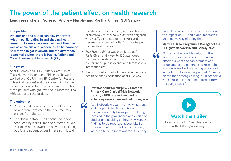### **The power of the patient effect on health research**

Lead researchers: Professor Andrew Murphy and Martha Killilea, NUI Galway

#### **The problem**

Patients and the public can play important roles in participating in and shaping health research. However, we need more of them, as well as clinicians and academics, to be aware of how they can get involved, and the difference it can make when there is Public, Patient and Carer Involvement in research (PPI).

#### **The project**

At NUI Galway, the HRB Primary Care Clinical Trials Network Ireland and PPI Ignite Network worked with CÚRAM (an SFI Centre for Research in Medical Devices) and the Galway Film Festival to commission and screen a documentary about three patients who got involved in research. The HRB supported the project.

#### **The outcomes**

- Patients and members of the public advised on and were involved in the documentary project from the start
- The documentary, *The Patient Effect*, was produced by Ishka Films and directed by Mia Mullarkey, and showed the power of including public and patient voices in research. It told

the stories of Sophia Ryan, who was born prematurely at 25 weeks, Cameron Keighron who has Type 1 diabetes, and Margaret Devaney, who has arthritis. All three helped to further health research

- *The Patient Effect* was premiered at An Palás Cinema, Galway, to 150 attendees and has been shown at numerous scientific conferences, public events and film festivals internationally
- It is now used as part of medical, nursing and health sciences education at NUI Galway.

**Professor Andrew Murphy, Director of Primary Care Clinical Trials Network Ireland, a HRB research network to enhance primary care and outcomes, says:** 

**"** As a Network, we want to involve patients and the public in clinical trials and research, not only taking part but being involved in the governance and design of studies and advising on how they want the findings to be reported accessibly. But to widen the PPI contributors involved, we need to raise more awareness among

patients, clinicians and academics about the impact of PPI, and a documentary is an effective way of doing that."

#### **Martha Killilea, Programme Manager of the PPI Ignite Network @ NUI Galway, says:**

"As well as the tangible output of the documentary, this project has built an enormous sense of achievement and pride among the patients and researchers who were involved in advising or appearing in the film. It has also helped put PPI more on the map among colleagues in academia whose research can benefit from it from the early stages." **"**

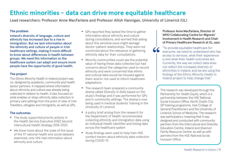### **Ethnic minorities - data can drive more equitable healthcare**

Lead researchers: Professor Anne MacFarlane and Professor Ailish Hannigan, University of Limerick (UL)

#### **The problem**

Ireland's diversity of language, culture and ethnicity has increased due to a rise in immigration. But we lack information about the ethnicity and culture of people in Irish healthcare settings, making it more difficult to know about differences in health between groups. We need this information so the healthcare system can adapt and ensure more people have the opportunity of good health.

#### **The project**

The Ethnic Minority Health in Ireland project was co-designed by academic, community and health sector partners. It mapped where information about ethnicity and culture was already being collected in relation to health. It also focused on what enables or stops ethnicity data collection in primary care settings from the point of view of Irish Travellers, refugees and immigrants, as well as GPs.

#### **The outcomes**

- The study supported priority actions in the Health Service Executive (HSE) Second Intercultural Health Strategy 2018-2023
- We know more about the scale of the issue: of the 97 national health and social datasets examined, only 14% had information about ethnicity and culture
- GPs reported they lacked the time to gather information about ethnicity and culture during consultations, and worried that asking about this sensitive issue might damage doctor-patient relationships. They were not convinced about the relevance of gathering ethnicity data for their consultations
- Minority communities could see the potential value of having these data collected but had concerns about the categories used to record ethnicity and were concerned that ethnic and cultural data would be misused against them and/or not used to inform healthcare adaptations
- The research team prepared a community drama called *Diversity in Data* based on the study's findings and it was performed for GPs and in community settings. The drama is now being used in medical students' training in the University of Limerick
- A policy brief arising from the research for the Department of Health recommended collecting ethnicity and immigration data using an Individual Health Identifier and linking data across the healthcare system
- Study findings were used to help train HSE contact tracers about ethnicity data collection during COVID-19.

**Professor Anne MacFarlane, Director of WHO Collaborating Centre for Migrants' Involvement in Health Research and Chair of Primary Healthcare Research at UL, says:** 

"To provide equitable healthcare for everyone, we need to understand who has access to services, what their experience is and what their health outcomes are. Currently, the way we collect data does not reflect the increased diversity of ethnicities in Ireland, and we are using the findings of the Ethnic Minority Health in Ireland project to help change that." **"**

> This research was developed through the Partnership for Health Equity, which is a partnership between the HSE National Social Inclusion Office, North Dublin City GP training programme, Irish College of General Practitioners and the University of Limerick School of Medicine. The research was participatory, meaning that it was designed and conducted with community partners from the Intercultural and Diversity Education Centre, Ireland and Shannon Family Resource Centre, as well as with partners from the HSE National Social Inclusion Office.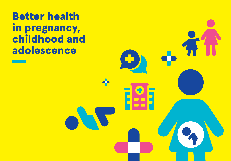Better health in pregnancy, childhood and adolescence

4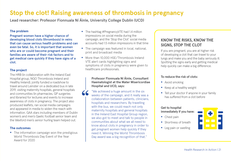### **Stop the clot! Raising awareness of thrombosis in pregnancy**

Lead researcher: Professor Fionnuala Ní Áinle, University College Dublin (UCD)

**"**

#### **The problem**

Pregnant women have a higher chance of developing blood clots (thrombosis) in veins that can cause serious health problems and can even be fatal. So, it is important that women who are or could become pregnant and their families are aware of their risk factors and to get medical care quickly if they have signs of a clot.

#### **The project**

The HRB (in collaboration with the Ireland East Hospital group, NGO Thrombosis Ireland and Healthy Ireland), jointly funded a roadshow to travel around Leinster on a dedicated bus in late 2019, visiting maternity hospitals, general hospitals and communities (in pharmacies, GP surgeries and libraries) for lectures and events to increase awareness of clots in pregnancy. The project also produced leaflets, ran social media campaigns and appeared in media to widen the reach with information. GAA stars including members of Dublin women's and men's Gaelic football senior team and the Wexford men's senior hurling team helped out.

#### **The outcomes**

• The information campaign won the prestigious World Thrombosis Day Event of the Year Award for 2020

- The hashtag #PregnancyVTE had 1.4 million impressions on social media during the campaign, and the 'Stop the Clot' social media accounts had 1.5 million impressions in that time
- The campaign was featured in local, national, print and broadcast media
- More than 10,000 HSF/Thrombosis Ireland VTE alert cards highlighting signs and symptoms of clots in pregnancy were given to healthcare professionals.

#### **Professor Fionnuala Ní Áinle, Consultant Haematologist at the Mater Misericordiae Hospital and UCD, says:**

"We achieved a huge amount in the six weeks of the campaign, and it really was a collaboration between patients, clinicians, hospitals and researchers. By travelling with the bus, we could reach not only maternity hospitals and general hospitals in the Ireland East Hospital Group region, we also got to meet and talk to people in communities about what we all need to know about clots in pregnancy in order to get pregnant women help quickly if they need it. Winning the World Thrombosis Day award was a big recognition of that."

#### **KNOW THE RISKS, KNOW THE SIGNS, STOP THE CLOT**

If you are pregnant, you are at higher risk of developing a clot that can travel to your lungs and make you and the baby seriously ill. Spotting the signs early and getting medical help quickly can make a big difference.

#### **To reduce the risk of clots:**

- Avoid smoking
- Keep at a healthy weight
- Tell your doctor if anyone in your family has suffered from a clot before

#### **Get to hospital**

**immediately if you have:**

- Chest pain
- Shortness of breath
- Leg pain or swelling

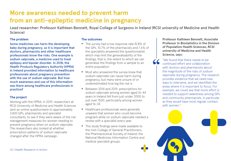### **More awareness needed to prevent harm from an anti-epileptic medicine in pregnancy**

Lead researcher: Professor Kathleen Bennett, Royal College of Surgeons in Ireland (RCSI university of Medicine and Health Science)

#### **The problem**

Some medicines can harm the developing baby during pregnancy, so it is important that doctors, pharmacists and other healthcare professionals know the risks. One example is sodium valproate, a medicine used to treat epilepsy and bipolar disorder. In 2018, the Health Products Regulatory Authority (HPRA) in Ireland provided information to healthcare professionals about pregnancy prevention with the use of sodium valproate. But how much awareness and use of this information was there among healthcare professionals in practice?

#### **The project**

Working with the HPRA, in 2019, researchers at RCSI University of Medicine and Health Sciences sent an online questionnaire to approximately 3,820 GPs, pharmacists and specialist consultants, to see if they were aware of the risk management measures for women needing to prevent pregnancy when on sodium valproate. The researchers also looked at whether prescription patterns of sodium valproate changed after the HPRA campaign.

#### **The outcomes**

- The survey had a low response rate (5.8% of the GPs, 10.7% of the pharmacists and 7.6% of the specialists answered the questionnaire), which may limit the generalisability of the findings, that is, the extent to which we can generalise the findings from a sample to an entire population
- Most who answered the survey knew that sodium valproate can cause harm during pregnancy, but many were unsure of or underestimated how big the risk is
- Between 2014 and 2019, prescriptions for sodium valproate among women aged 16-44 years in Ireland fell from just under 2000 to just over 1500, particularly among women aged 16-24
- Healthcare professionals were generally unaware that women who could become pregnant while on sodium valproate needed a review with a specialist every year
- The study findings were made available to the Irish College of General Practitioners, the Pharmaceutical Society of Ireland, the National Medicines Information Centre and medical specialist groups.

**Professor Kathleen Bennett, Associate Professor in Biostatistics in the Division of Population Health Sciences, RCSI university of Medicine and Health Science, says:**

"We found that there needs to be continued effort and collaboration with doctors and pharmacists about the magnitude of the risks of sodium valproate during pregnancy. The research provides evidence that we need new ways to intervene, and we identified the areas where it is important to focus. For example, we could see that more effort is needed to support awareness among GPs and community pharmacists, in particular, as they would have most regular contact with women"

**"**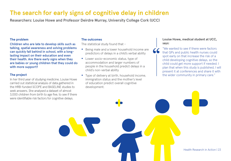### **The search for early signs of cognitive delay in children**

Researchers: Louise Howe and Professor Deirdre Murray, University College Cork (UCC)

#### **The problem**

Children who are late to develop skills such as talking, spatial awareness and solving problems can quickly fall behind in school, with a longlasting impact on their education and even their health. Are there early signs when they are babies or young children that they could do with more support?

#### **The project**

In her third year of studying medicine, Louise Howe carried out statistical analysis of data gathered in the HRB-funded SCOPE and BASELINE studies to seek answers. She analysed a dataset of almost 3,000 children from birth to age five, to see if there were identifiable risk factors for cognitive delays.

#### **The outcomes**

The statistical study found that -

- Being male and a lower household income are predictors of delays in a child's verbal ability
- Lower socio-economic status, type of accommodation and larger numbers of people in the household predict delays in a child's non-verbal ability
- Type of delivery at birth, household income, immigration status and the mother's level of education predict overall cognitive development.

#### **Louise Howe, medical student at UCC, says:**

"We wanted to see if there were factors that GPs and public health nurses could spot early on that increase the risk of a child developing cognitive delays, so the child could get more support if needed. I plan that when this study is published, I will present it at conferences and share it with the wider community in primary care." **"**

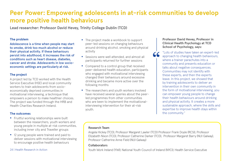### **Peer Power: Empowering adolescents in at-risk communities to develop more positive health behaviours**

Lead researcher: Professor David Hevey, Trinity College Dublin (TCD)

#### **The problem**

Adolescence is a time when people may start to smoke, drink too much alcohol or reduce their physical activity. If these behaviours persist into adulthood, it increases the risk of conditions such as heart disease, diabetes, cancer and stroke. Adolescents in low socioeconomic settings are particularly at risk.

#### **The project**

A project led by TCD worked with the Health Service Executive (HSE) and local community workers to train adolescents from socioeconomically deprived communities in motivational interviewing, a technique that empowers a person to make healthier choices. The project was funded through the HRB and Health Charities Research Ireland.

#### **The outcomes**

- Fruitful working relationships were built between the researchers, youth workers and young people in multiple at-risk communities, including inner city and Traveller groups
- 12 young people were trained and paid to deliver sessions with motivational interviewing to encourage positive health behaviours

#### 24 | Health Research in Action

- The project made a workbook to support peer-led sessions on changing behaviours around drinking alcohol, smoking and physical activity
- Sessions were well attended, and almost all participants returned for further sessions
- Compared to a control group that received peer-delivered health education, participants who engaged with motivational interviewing changed their behaviours around excessive drinking and became more active over the following months
- The researchers and youth workers involved have received several queries about the peerled programmes from other communities who are keen to implement the motivationalinterviewing intervention for their at-risk youth.

**Professor David Hevey, Professor in Clinical Health Psychology at TCD School of Psychology, says:** 

"Lots of studies have taken an expert-led approach to changing health behaviours, where a trainer parachutes into a community and presents education or talks about negative consequences. Communities may not identify with these experts, and then the experts leave. In this project, we showed that by training adolescents to deliver an intervention in their own community in the form of motivational interviewing, you can empower young people to change their health behaviours around drinking and physical activity. It creates a more sustainable approach, where the skills and expertise to improve health stays within the community."

#### **Research Team**

Angela Hickey (TCD), Professor Margaret Lawler (TCD) Professor Frank Doyle (RCSI), Professor Elizabeth Nixon (TCD), Professor Catherine Darker (TCD), Professor Margaret Barry (NUI Galway), Professor Catherine Anne Field (NUI Galway)

**"**

#### **Collaborators**

Youth Work Ireland (YWI); National Youth Council of Ireland (NYCI); Health Service Executive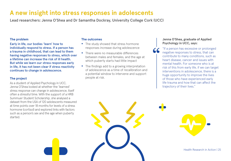### **A new insight into stress responses in adolescents**

Lead researchers: Jenna O'Shea and Dr Samantha Dockray, University College Cork (UCC)

#### **The problem**

Early in life, our bodies 'learn' how to individually respond to stress. If a person has a trauma in childhood, that can lead to them having negative responses to stress, which over a lifetime can increase the risk of ill health. But while we learn our stress responses early in life, it has not been clear if stress reactivity continues to change in adolescence.

#### **The project**

As a student of Applied Psychology in UCC, Jenna O'Shea looked at whether the 'learned' stress response can change in adolescence, itself often a stressful time. With the support of a HRB Summuer Student Scholarship, she analysed a dataset from the USA of 120 adolescents measured at time points over 18 months for levels of a stress hormone (cortisol) and explored links with factors such as a person's sex and the age when puberty started.

#### **The outcomes**

- The study showed that stress hormone responses increase during adolescence
- There were no measurable differences between males and females, and the age at which puberty starts had little impact
- The findings add to a growing interpretation of adolescence as a time of recalibration and a potential window to intervene and support people at risk.

#### **Jenna O'Shea, graduate of Applied Psychology in UCC, says:**

"If a person has excessive or prolonged negative responses to stress, that can contribute to many conditions, such as heart disease, cancer and issues with mental health. For someone who is at risk of this from early life, if we can target interventions in adolescence, there is a huge opportunity to improve the lives of those who have experienced early life trauma and how that can affect the trajectory of their lives." **"**



Health Research in Action | 25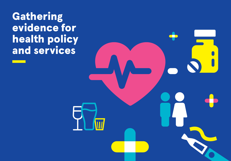Gathering evidence for health policy and services

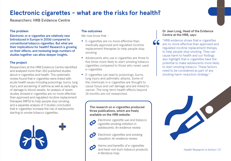### **Electronic cigarettes - what are the risks for health?**

Researchers: HRB Evidence Centre

#### **The problem**

Electronic or e-cigarettes are relatively new (introduced in Europe in 2006) compared to conventional tobacco cigarettes. But what are their implications for health? Research is growing on their effects, and reviewing large numbers of studies together can allow deeper insights.

#### **The project**

Researchers at the HRB Evidence Centre identified and analysed more than 360 published studies about e-cigarettes and health. This systematic review found that e-cigarettes were linked with acute health issues including poisonings, burns, lung injury and worsening of asthma as well as early signs of damage to blood vessels. An analysis of seven studies showed e-cigarettes are no more effective than approved and regulated nicotine replacement therapies (NRTs) to help people stop smoking, and a separate analysis of 9 studies concluded that e-cigarettes increase the risk of adolescents starting to smoke tobacco cigarettes.



#### **The outcomes**

We now know that -

- E-cigarettes are no more effective than medically approved and regulated nicotine replacement therapies to help people stop smoking
- Adolescents who use e-cigarettes are three to five times more likely to start smoking tobacco cigarettes compared to those who never used e-cigarettes
- E-cigarettes can lead to poisonings, burns, lung injury and asthmatic attacks. Some of the chemicals in e-cigarettes are thought to cause tissue and cell damage and are linked to cancer. The long-term health effects beyond 24 months are not researched.

**The research on e-cigarettes produced three publications, which are freely available on the HRB website:**



*[Electronic cigarette use and tobacco](https://www.hrb.ie/fileadmin/2._Plugin_related_files/Publications/2020_publication-related_files/2020_HIE/Evidence_Centre/Electronic_cigarette_use_and_tobacco_cigarette_smoking_initiation_in_adolescents.pdf)  [cigarette smoking initiation in](https://www.hrb.ie/fileadmin/2._Plugin_related_files/Publications/2020_publication-related_files/2020_HIE/Evidence_Centre/Electronic_cigarette_use_and_tobacco_cigarette_smoking_initiation_in_adolescents.pdf)  [adolescents: An evidence review.](https://www.hrb.ie/fileadmin/2._Plugin_related_files/Publications/2020_publication-related_files/2020_HIE/Evidence_Centre/Electronic_cigarette_use_and_tobacco_cigarette_smoking_initiation_in_adolescents.pdf)* 



*[Electronic cigarettes and smoking](https://www.hrb.ie/fileadmin/2._Plugin_related_files/Publications/2020_publication-related_files/2020_HIE/Evidence_Centre/Electronic_cigarettes_and_smoking_cessation_systematic_evidence_review.pdf)  [cessation: An evidence review.](https://www.hrb.ie/fileadmin/2._Plugin_related_files/Publications/2020_publication-related_files/2020_HIE/Evidence_Centre/Electronic_cigarettes_and_smoking_cessation_systematic_evidence_review.pdf)* 

*[Harms and benefits of e-cigarettes](https://www.hrb.ie/fileadmin/2._Plugin_related_files/Publications/2020_publication-related_files/2020_HIE/Evidence_Centre/Harms_and_benefits_of_e-cigarettes_and_heat-not-burn_tobacco_products_Literature_map.pdf)  [and heat-not-burn tobacco products.](https://www.hrb.ie/fileadmin/2._Plugin_related_files/Publications/2020_publication-related_files/2020_HIE/Evidence_Centre/Harms_and_benefits_of_e-cigarettes_and_heat-not-burn_tobacco_products_Literature_map.pdf)  [A literature map.](https://www.hrb.ie/fileadmin/2._Plugin_related_files/Publications/2020_publication-related_files/2020_HIE/Evidence_Centre/Harms_and_benefits_of_e-cigarettes_and_heat-not-burn_tobacco_products_Literature_map.pdf)* 

#### **Dr Jean Long, Head of the Evidence Centre at the HRB, says:**

"HRB evidence shows that e-cigarettes are no more effective than approved and regulated nicotine replacement therapy to help people stop smoking. They can cause harm to health and our findings also highlight that e-cigarettes have the potential to make adolescents more likely to start smoking tobacco. These factors need to be considered as part of any smoking harm-reduction strategy." **"**



Health Research in Action | 27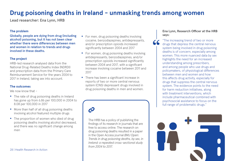### **Drug poisoning deaths in Ireland - unmasking trends among women**

Lead researcher: Ena Lynn, HRB

#### **The problem**

Globally, people are dying from drug (including alcohol) poisoning, but it has not been clear whether there were differences between men and women in relation to trends and drugs involved in these deaths.

#### **The project**

HRB-led research analysed data from the National Drug-Related Deaths Index (NDRDI) and prescription data from the Primary Care Reimbursement Service for the years 2004 to 2017 in Ireland, taking sex into account.

#### **The outcomes**

We now know that -

- The rate of drug poisoning deaths in Ireland has gone up from 6.86 per 100,000 in 2004 to 8.08 per 100,000 in 2017
- More than half of all drug poisoning deaths involving alcohol featured multiple drugs
- The proportion of women who died of drug poisoning deaths involving alcohol decreased, and there was no significant change among men

28 | Health Research in Action

- For men, drug poisoning deaths involving cocaine, benzodiazepines, antidepressants, and/or prescription opioids increased significantly between 2004 and 2017
- For women, drug poisoning deaths involving antidepressants, benzodiazepines, and/or prescription opioids increased significantly between 2004 and 2017, with a significant increase involving cocaine between 2011 and 2017
- There has been a significant increase in reports of two or more central nervous system (CNS) depressant drugs involved in drug poisoning deaths in men and women.

### $\boldsymbol{\mathcal{C}}$

The HRB has a policy of publishing the findings of its research in journals that are free to access online. The research on drug poisoning deaths resulted in a paper in the Open Access journal *BMJ Open: [Trends in drug poisoning deaths, by sex, in](https://bmjopen.bmj.com/content/11/9/e048000.full)  Ireland: a repeated cross-sectional study from 2004 to 2017.*

#### **Ena Lynn, Research Officer at the HRB says:**

"The increasing trend of two or more drugs that depress the central nervous system being involved in drug poisoning deaths is of concern, especially among women. This more nuanced data by sex highlights the need for an increased understanding among prescribers, and among people who use drugs and policymakers, of physiological differences between men and women and how this affects drug activity, especially for drugs that suppress the central nervous system. The evidence points to the need for harm reduction initiatives, along with treatment interventions, which include pharmaceutical combined with psychosocial assistance to focus on the full range of problematic drugs." **"**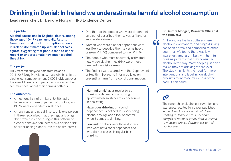### **Drinking in Denial: In Ireland we underestimate harmful alcohol consumption**

Lead researcher: Dr Deirdre Mongan, HRB Evidence Centre

#### **The problem**

Alcohol causes one in 10 global deaths among those aged 15-49 years annually. Results from previous alcohol consumption surveys in Ireland don't match up with alcohol sales figures, suggesting that people tend to underreport or underestimate how much alcohol they drink.

#### **The project**

HRB research analysed data from Ireland's 2014/2015 Drug Prevalence Survey, which explored alcohol consumption among 7,005 individuals over the age of 15 years, and particularly looked at their self-awareness about their drinking patterns.

#### **The outcomes**

- Almost one half of drinkers (2,420) had a hazardous or harmful pattern of drinking, and 10.5% were dependent on alcohol
- Among regular binge drinkers, only one person in three recognised that they regularly binge drink, which is concerning as this pattern of alcohol consumption increases a person's risk of experiencing alcohol-related health harms



- One third of the people who were dependent on alcohol described themselves as 'light' or 'moderate' drinkers
- Women who were alcohol dependent were less likely to describe themselves as heavy drinkers (1 in 10) compared to men (1 in 5)
- The people who most accurately estimated how much alcohol they drink were those deemed low-risk drinkers
- The findings were shared with the Department of Health in Ireland to inform policies on preventing harm from alcohol consumption.

**Harmful drinking,** or regular binge drinking, is defined as consuming approximately six standard alcohol drinks in one sitting.

**Hazardous drinking**, or alcohol dependence, is defined as experiencing alcohol cravings and a lack of control when it comes to drinking.

**Low-risk drinkers** were those drinkers who were not alcohol dependent and who did not engage in regular binge drinking.

#### **Dr Deirdre Mongan, Research Officer at the HRB, says:**

"In Ireland we live in a culture where alcohol is everywhere, and binge drinking has been normalised compared to other countries. We found there was low awareness among drinkers with harmful drinking patterns that they consumed alcohol in this way. Many people just don't realise they are drinking at that level. The study highlights the need for more interventions and labelling on alcohol products to increase awareness of the harm it can cause." **"**

## $\boldsymbol{\mathcal{C}}$

[The research on alcohol consumption and](https://bmjopen.bmj.com/content/10/7/e034520.full?ijkey=VWO9DUEiaShD98I&keytype=ref)  [awareness resulted in a paper published](https://bmjopen.bmj.com/content/10/7/e034520.full?ijkey=VWO9DUEiaShD98I&keytype=ref)  [in the Open Access journal](https://bmjopen.bmj.com/content/10/7/e034520.full?ijkey=VWO9DUEiaShD98I&keytype=ref) *BMJ Open: [Drinking in denial: a cross-sectional](https://bmjopen.bmj.com/content/10/7/e034520.full?ijkey=VWO9DUEiaShD98I&keytype=ref)  [analysis of national survey data in Ireland](https://bmjopen.bmj.com/content/10/7/e034520.full?ijkey=VWO9DUEiaShD98I&keytype=ref)  [to measure drinkers' awareness of their](https://bmjopen.bmj.com/content/10/7/e034520.full?ijkey=VWO9DUEiaShD98I&keytype=ref)  [alcohol use.](https://bmjopen.bmj.com/content/10/7/e034520.full?ijkey=VWO9DUEiaShD98I&keytype=ref)*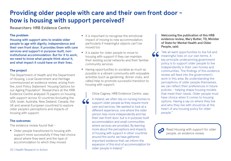### **Providing older people with care and their own front door how is housing with support perceived?**

Researchers: HRB Evidence Centre

#### **The problem**

Housing with support aims to enable older people to age with dignity, independence and their own front door. It provides them with care services and support in purpose-built, noninstitutional accommodation. But for it to work, we need to know what people think about it, and what impact it could have on their lives.

#### **The project**

The Department of Health and the Department of Housing, Local Government and Heritage commissioned an evidence review, arising from the Joint Policy Statement 'Housing Options for our Ageing Population'. Researchers at the HRB Evidence Centre analysed 75 papers on housing with support across 10 countries (including the USA, Israel, Australia, New Zealand, Canada, the UK and several European countries) to explore older people's perceptions and impacts of housing with support.

#### **The outcomes**

The evidence review found that -

• Older people transitioned to housing with support more successfully if they had choice about where they went and the type of accommodation to which they moved

- It is important to recognise the emotional impact of moving to new accommodation, particularly if meaningful objects can't be moved too
- It is easier for older people to move to housing with support if they can maintain their existing social networks and their familiar community services
- Having opportunities to socialise as much as possible in a vibrant community with enjoyable activities (such as gardening, dinner clubs, and cafes) help to promote successful transition to housing with support.

Olivia Cagney, HRB Evidence Centre, says:

In Ireland, we often rely on nursing homes to support older people as they require more care and services. We wanted to look at a different experience, one where the older person lives more independently and has their own front door, but is in purpose-built accommodation and small communities where services are provided. By learning more about the perceptions and impacts of housing with support in other countries around the world, we have gathered important evidence that can inform the expansion of this kind of accommodation for older people in Ireland." **"**

**Welcoming the publication of this HRB evidence review, Mary Butler, TD, Minister of State for Mental Health and Older People, said:**

"We all want opportunities to live full and meaningful lives on our own terms. A key principle underpinning government policy is to support older people to live independently in their own homes and communities. The findings of this evidence review will feed into the government's work in this area. By understanding the perceptions of older people themselves, we can reflect their preferences in future policies – helping shape housing models that meet their needs. Older people must have choice when it comes to housing options. Having a say on where they live and who they live with should be at the heart of any housing policy for older people."



**"**

Read *[Housing with support for older](https://www.hrb.ie/fileadmin/2._Plugin_related_files/Publications/2021_publications/2021_HIE/Evidence_Centre/HRB_Evidence_review_Housing_with_support_for_older_people.pdf)  [people, an evidence review.](https://www.hrb.ie/fileadmin/2._Plugin_related_files/Publications/2021_publications/2021_HIE/Evidence_Centre/HRB_Evidence_review_Housing_with_support_for_older_people.pdf)*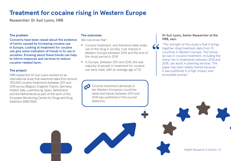### **Treatment for cocaine rising in Western Europe**

Researcher: Dr Suzi Lyons, HRB

#### **The problem**

Concerns have been raised about the evidence of harms caused by increasing cocaine use in Europe. Looking at treatment for cocaine can give some indication of trends in its use in societies. Knowing about these trends can help to inform measures and services to reduce cocaine-related harm.

#### **The project**

HRB researcher Dr Suzi Lyons worked on an international study that examined data from around 700,000 cocaine treatments between 2011 and 2018 across Belgium, England, France, Germany, Ireland, Italy, Luxembourg, Spain, Switzerland and the Netherlands as part of the work of the European Monitoring Centre for Drugs and Drug Addiction (EMCDDA).

#### **The outcomes**

We now know that -

- Cocaine treatment, and therefore likely wider use of the drug in society, rose sharply in Western Europe between 2015 and the end of the study period in 2018
- In Europe, between 2011 and 2018, the vast majority of people in treatment for cocaine use were male, with an average age of 35.

*[Cocaine treatment demands in](https://onlinelibrary.wiley.com/doi/full/10.1111/add.15237)  [ten Western European countries:](https://onlinelibrary.wiley.com/doi/full/10.1111/add.15237)  [observed trends between 2011 and](https://onlinelibrary.wiley.com/doi/full/10.1111/add.15237)  2018* [was published in the journal](https://onlinelibrary.wiley.com/doi/full/10.1111/add.15237)  *[Addiction](https://onlinelibrary.wiley.com/doi/full/10.1111/add.15237)*.

#### **Dr Suzi Lyons, Senior Researcher at the HRB, says:**

"The strength of this study is that it brings together drug treatment data from 10 countries in Western Europe. The trends we saw in cocaine treatment, including the sharp rise in treatments between 2015 and 2018, can assist in planning services. The paper has been widely shared because it was published in a high-impact and accessible journal." **"**

Health Research in Action | 31